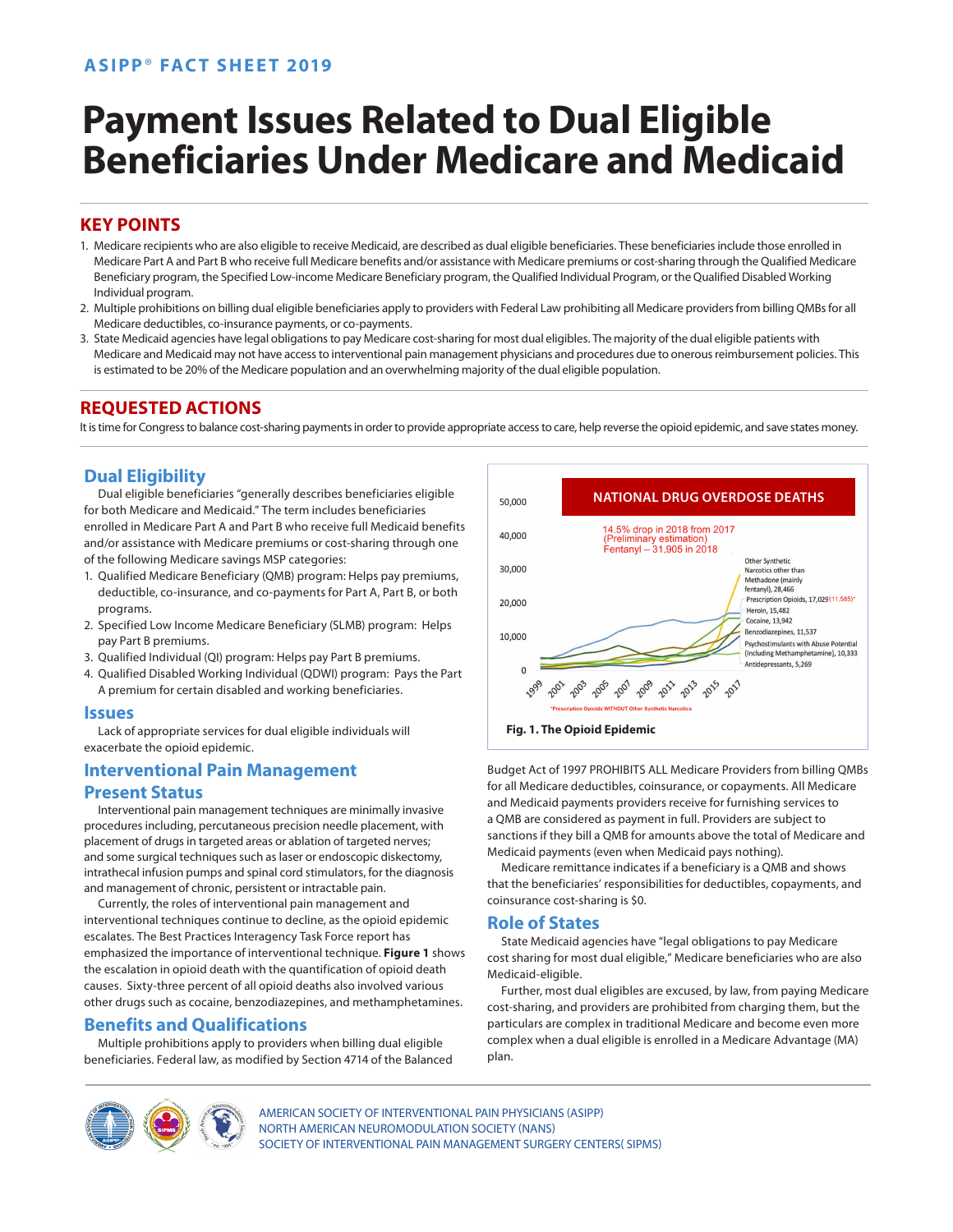# **ASIPP**® **FACT SHEET 2019**

# **Payment Issues Related to Dual Eligible Beneficiaries Under Medicare and Medicaid**

# **KEY POINTS**

- 1. Medicare recipients who are also eligible to receive Medicaid, are described as dual eligible beneficiaries. These beneficiaries include those enrolled in Medicare Part A and Part B who receive full Medicare benefits and/or assistance with Medicare premiums or cost-sharing through the Qualified Medicare Beneficiary program, the Specified Low-income Medicare Beneficiary program, the Qualified Individual Program, or the Qualified Disabled Working Individual program.
- 2. Multiple prohibitions on billing dual eligible beneficiaries apply to providers with Federal Law prohibiting all Medicare providers from billing QMBs for all Medicare deductibles, co-insurance payments, or co-payments.
- 3. State Medicaid agencies have legal obligations to pay Medicare cost-sharing for most dual eligibles. The majority of the dual eligible patients with Medicare and Medicaid may not have access to interventional pain management physicians and procedures due to onerous reimbursement policies. This is estimated to be 20% of the Medicare population and an overwhelming majority of the dual eligible population.

## **REQUESTED ACTIONS**

It is time for Congress to balance cost-sharing payments in order to provide appropriate access to care, help reverse the opioid epidemic, and save states money.

# **Dual Eligibility**

Dual eligible beneficiaries "generally describes beneficiaries eligible for both Medicare and Medicaid." The term includes beneficiaries enrolled in Medicare Part A and Part B who receive full Medicaid benefits and/or assistance with Medicare premiums or cost-sharing through one of the following Medicare savings MSP categories:

- 1. Qualified Medicare Beneficiary (QMB) program: Helps pay premiums, deductible, co-insurance, and co-payments for Part A, Part B, or both programs.
- 2. Specified Low Income Medicare Beneficiary (SLMB) program: Helps pay Part B premiums.
- 3. Qualified Individual (QI) program: Helps pay Part B premiums.
- 4. Qualified Disabled Working Individual (QDWI) program: Pays the Part A premium for certain disabled and working beneficiaries.

#### **Issues**

Lack of appropriate services for dual eligible individuals will exacerbate the opioid epidemic.

## **Interventional Pain Management**

#### **Present Status**

Interventional pain management techniques are minimally invasive procedures including, percutaneous precision needle placement, with placement of drugs in targeted areas or ablation of targeted nerves; and some surgical techniques such as laser or endoscopic diskectomy, intrathecal infusion pumps and spinal cord stimulators, for the diagnosis and management of chronic, persistent or intractable pain.

Currently, the roles of interventional pain management and interventional techniques continue to decline, as the opioid epidemic escalates. The Best Practices Interagency Task Force report has emphasized the importance of interventional technique. **Figure 1** shows the escalation in opioid death with the quantification of opioid death causes. Sixty-three percent of all opioid deaths also involved various other drugs such as cocaine, benzodiazepines, and methamphetamines.

## **Benefits and Qualifications**

Multiple prohibitions apply to providers when billing dual eligible beneficiaries. Federal law, as modified by Section 4714 of the Balanced



Budget Act of 1997 PROHIBITS ALL Medicare Providers from billing QMBs for all Medicare deductibles, coinsurance, or copayments. All Medicare and Medicaid payments providers receive for furnishing services to a QMB are considered as payment in full. Providers are subject to sanctions if they bill a QMB for amounts above the total of Medicare and Medicaid payments (even when Medicaid pays nothing).

Medicare remittance indicates if a beneficiary is a QMB and shows that the beneficiaries' responsibilities for deductibles, copayments, and coinsurance cost-sharing is \$0.

#### **Role of States**

State Medicaid agencies have "legal obligations to pay Medicare cost sharing for most dual eligible," Medicare beneficiaries who are also Medicaid-eligible.

Further, most dual eligibles are excused, by law, from paying Medicare cost-sharing, and providers are prohibited from charging them, but the particulars are complex in traditional Medicare and become even more complex when a dual eligible is enrolled in a Medicare Advantage (MA) plan.



AMERICAN SOCIETY OF INTERVENTIONAL PAIN PHYSICIANS (ASIPP) NORTH AMERICAN NEUROMODULATION SOCIETY (NANS) SOCIETY OF INTERVENTIONAL PAIN MANAGEMENT SURGERY CENTERS( SIPMS)